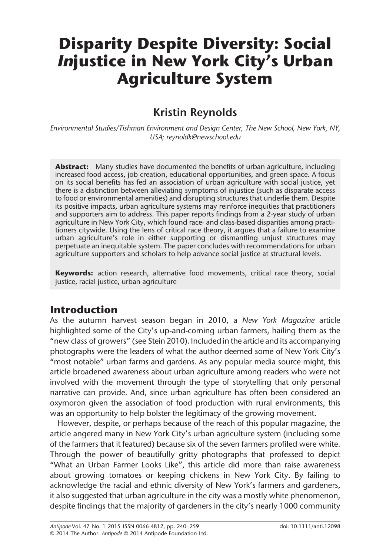# Disparity Despite Diversity: Social Injustice in New York City's Urban Agriculture System

# Kristin Reynolds

Environmental Studies/Tishman Environment and Design Center, The New School, New York, NY, USA; reynoldk@newschool.edu

**Abstract:** Many studies have documented the benefits of urban agriculture, including increased food access, job creation, educational opportunities, and green space. A focus on its social benefits has fed an association of urban agriculture with social justice, yet there is a distinction between alleviating symptoms of injustice (such as disparate access to food or environmental amenities) and disrupting structures that underlie them. Despite its positive impacts, urban agriculture systems may reinforce inequities that practitioners and supporters aim to address. This paper reports findings from a 2-year study of urban agriculture in New York City, which found race- and class-based disparities among practitioners citywide. Using the lens of critical race theory, it argues that a failure to examine urban agriculture's role in either supporting or dismantling unjust structures may perpetuate an inequitable system. The paper concludes with recommendations for urban agriculture supporters and scholars to help advance social justice at structural levels.

Keywords: action research, alternative food movements, critical race theory, social justice, racial justice, urban agriculture

# Introduction

As the autumn harvest season began in 2010, a New York Magazine article highlighted some of the City's up-and-coming urban farmers, hailing them as the "new class of growers" (see Stein 2010). Included in the article and its accompanying photographs were the leaders of what the author deemed some of New York City's "most notable" urban farms and gardens. As any popular media source might, this article broadened awareness about urban agriculture among readers who were not involved with the movement through the type of storytelling that only personal narrative can provide. And, since urban agriculture has often been considered an oxymoron given the association of food production with rural environments, this was an opportunity to help bolster the legitimacy of the growing movement.

However, despite, or perhaps because of the reach of this popular magazine, the article angered many in New York City's urban agriculture system (including some of the farmers that it featured) because six of the seven farmers profiled were white. Through the power of beautifully gritty photographs that professed to depict "What an Urban Farmer Looks Like", this article did more than raise awareness about growing tomatoes or keeping chickens in New York City. By failing to acknowledge the racial and ethnic diversity of New York's farmers and gardeners, it also suggested that urban agriculture in the city was a mostly white phenomenon, despite findings that the majority of gardeners in the city's nearly 1000 community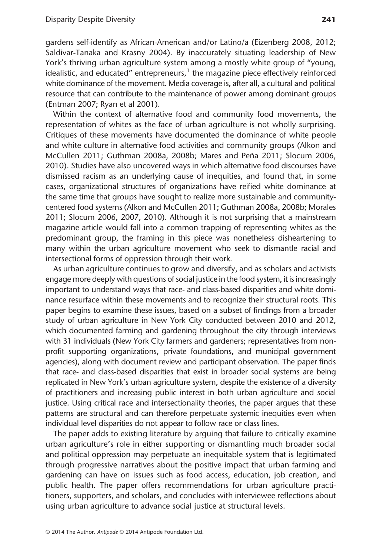gardens self-identify as African-American and/or Latino/a (Eizenberg 2008, 2012; Saldivar-Tanaka and Krasny 2004). By inaccurately situating leadership of New York's thriving urban agriculture system among a mostly white group of "young, idealistic, and educated" entrepreneurs, $<sup>1</sup>$  the magazine piece effectively reinforced</sup> white dominance of the movement. Media coverage is, after all, a cultural and political resource that can contribute to the maintenance of power among dominant groups (Entman 2007; Ryan et al 2001).

Within the context of alternative food and community food movements, the representation of whites as the face of urban agriculture is not wholly surprising. Critiques of these movements have documented the dominance of white people and white culture in alternative food activities and community groups (Alkon and McCullen 2011; Guthman 2008a, 2008b; Mares and Peña 2011; Slocum 2006, 2010). Studies have also uncovered ways in which alternative food discourses have dismissed racism as an underlying cause of inequities, and found that, in some cases, organizational structures of organizations have reified white dominance at the same time that groups have sought to realize more sustainable and communitycentered food systems (Alkon and McCullen 2011; Guthman 2008a, 2008b; Morales 2011; Slocum 2006, 2007, 2010). Although it is not surprising that a mainstream magazine article would fall into a common trapping of representing whites as the predominant group, the framing in this piece was nonetheless disheartening to many within the urban agriculture movement who seek to dismantle racial and intersectional forms of oppression through their work.

As urban agriculture continues to grow and diversify, and as scholars and activists engage more deeply with questions of social justice in the food system, it is increasingly important to understand ways that race- and class-based disparities and white dominance resurface within these movements and to recognize their structural roots. This paper begins to examine these issues, based on a subset of findings from a broader study of urban agriculture in New York City conducted between 2010 and 2012, which documented farming and gardening throughout the city through interviews with 31 individuals (New York City farmers and gardeners; representatives from nonprofit supporting organizations, private foundations, and municipal government agencies), along with document review and participant observation. The paper finds that race- and class-based disparities that exist in broader social systems are being replicated in New York's urban agriculture system, despite the existence of a diversity of practitioners and increasing public interest in both urban agriculture and social justice. Using critical race and intersectionality theories, the paper argues that these patterns are structural and can therefore perpetuate systemic inequities even when individual level disparities do not appear to follow race or class lines.

The paper adds to existing literature by arguing that failure to critically examine urban agriculture's role in either supporting or dismantling much broader social and political oppression may perpetuate an inequitable system that is legitimated through progressive narratives about the positive impact that urban farming and gardening can have on issues such as food access, education, job creation, and public health. The paper offers recommendations for urban agriculture practitioners, supporters, and scholars, and concludes with interviewee reflections about using urban agriculture to advance social justice at structural levels.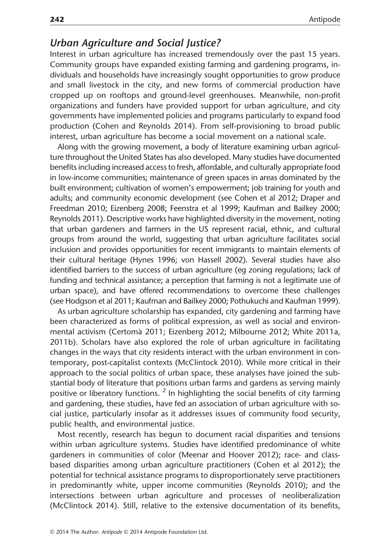#### Urban Agriculture and Social Justice?

Interest in urban agriculture has increased tremendously over the past 15 years. Community groups have expanded existing farming and gardening programs, individuals and households have increasingly sought opportunities to grow produce and small livestock in the city, and new forms of commercial production have cropped up on rooftops and ground-level greenhouses. Meanwhile, non-profit organizations and funders have provided support for urban agriculture, and city governments have implemented policies and programs particularly to expand food production (Cohen and Reynolds 2014). From self-provisioning to broad public interest, urban agriculture has become a social movement on a national scale.

Along with the growing movement, a body of literature examining urban agriculture throughout the United States has also developed. Many studies have documented benefits including increased access to fresh, affordable, and culturally appropriate food in low-income communities; maintenance of green spaces in areas dominated by the built environment; cultivation of women's empowerment; job training for youth and adults; and community economic development (see Cohen et al 2012; Draper and Freedman 2010; Eizenberg 2008; Feenstra et al 1999; Kaufman and Bailkey 2000; Reynolds 2011). Descriptive works have highlighted diversity in the movement, noting that urban gardeners and farmers in the US represent racial, ethnic, and cultural groups from around the world, suggesting that urban agriculture facilitates social inclusion and provides opportunities for recent immigrants to maintain elements of their cultural heritage (Hynes 1996; von Hassell 2002). Several studies have also identified barriers to the success of urban agriculture (eg zoning regulations; lack of funding and technical assistance; a perception that farming is not a legitimate use of urban space), and have offered recommendations to overcome these challenges (see Hodgson et al 2011; Kaufman and Bailkey 2000; Pothukuchi and Kaufman 1999).

As urban agriculture scholarship has expanded, city gardening and farming have been characterized as forms of political expression, as well as social and environmental activism (Certomà 2011; Eizenberg 2012; Milbourne 2012; White 2011a, 2011b). Scholars have also explored the role of urban agriculture in facilitating changes in the ways that city residents interact with the urban environment in contemporary, post-capitalist contexts (McClintock 2010). While more critical in their approach to the social politics of urban space, these analyses have joined the substantial body of literature that positions urban farms and gardens as serving mainly positive or liberatory functions. <sup>2</sup> In highlighting the social benefits of city farming and gardening, these studies, have fed an association of urban agriculture with social justice, particularly insofar as it addresses issues of community food security, public health, and environmental justice.

Most recently, research has begun to document racial disparities and tensions within urban agriculture systems. Studies have identified predominance of white gardeners in communities of color (Meenar and Hoover 2012); race- and classbased disparities among urban agriculture practitioners (Cohen et al 2012); the potential for technical assistance programs to disproportionately serve practitioners in predominantly white, upper income communities (Reynolds 2010); and the intersections between urban agriculture and processes of neoliberalization (McClintock 2014). Still, relative to the extensive documentation of its benefits,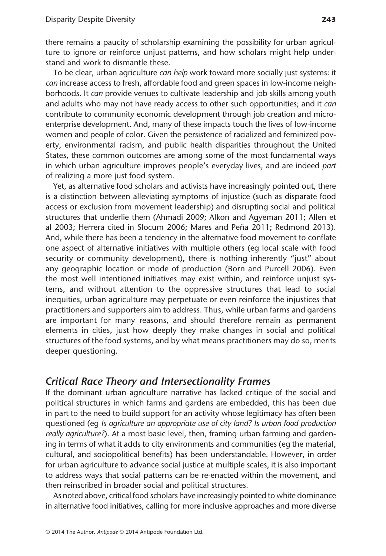there remains a paucity of scholarship examining the possibility for urban agriculture to ignore or reinforce unjust patterns, and how scholars might help understand and work to dismantle these.

To be clear, urban agriculture *can help* work toward more socially just systems: it can increase access to fresh, affordable food and green spaces in low-income neighborhoods. It can provide venues to cultivate leadership and job skills among youth and adults who may not have ready access to other such opportunities; and it can contribute to community economic development through job creation and microenterprise development. And, many of these impacts touch the lives of low-income women and people of color. Given the persistence of racialized and feminized poverty, environmental racism, and public health disparities throughout the United States, these common outcomes are among some of the most fundamental ways in which urban agriculture improves people's everyday lives, and are indeed part of realizing a more just food system.

Yet, as alternative food scholars and activists have increasingly pointed out, there is a distinction between alleviating symptoms of injustice (such as disparate food access or exclusion from movement leadership) and disrupting social and political structures that underlie them (Ahmadi 2009; Alkon and Agyeman 2011; Allen et al 2003; Herrera cited in Slocum 2006; Mares and Peña 2011; Redmond 2013). And, while there has been a tendency in the alternative food movement to conflate one aspect of alternative initiatives with multiple others (eg local scale with food security or community development), there is nothing inherently "just" about any geographic location or mode of production (Born and Purcell 2006). Even the most well intentioned initiatives may exist within, and reinforce unjust systems, and without attention to the oppressive structures that lead to social inequities, urban agriculture may perpetuate or even reinforce the injustices that practitioners and supporters aim to address. Thus, while urban farms and gardens are important for many reasons, and should therefore remain as permanent elements in cities, just how deeply they make changes in social and political structures of the food systems, and by what means practitioners may do so, merits deeper questioning.

#### Critical Race Theory and Intersectionality Frames

If the dominant urban agriculture narrative has lacked critique of the social and political structures in which farms and gardens are embedded, this has been due in part to the need to build support for an activity whose legitimacy has often been questioned (eg Is agriculture an appropriate use of city land? Is urban food production really agriculture?). At a most basic level, then, framing urban farming and gardening in terms of what it adds to city environments and communities (eg the material, cultural, and sociopolitical benefits) has been understandable. However, in order for urban agriculture to advance social justice at multiple scales, it is also important to address ways that social patterns can be re-enacted within the movement, and then reinscribed in broader social and political structures.

As noted above, critical food scholars have increasingly pointed to white dominance in alternative food initiatives, calling for more inclusive approaches and more diverse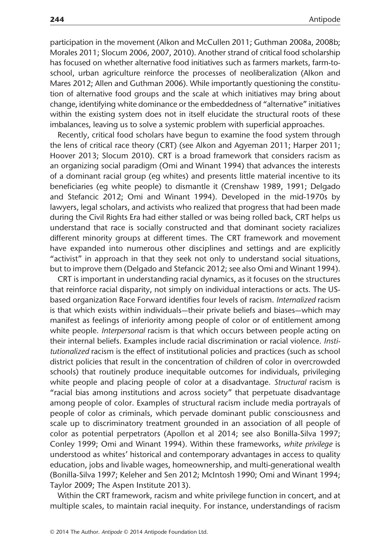participation in the movement (Alkon and McCullen 2011; Guthman 2008a, 2008b; Morales 2011; Slocum 2006, 2007, 2010). Another strand of critical food scholarship has focused on whether alternative food initiatives such as farmers markets, farm-toschool, urban agriculture reinforce the processes of neoliberalization (Alkon and Mares 2012; Allen and Guthman 2006). While importantly questioning the constitution of alternative food groups and the scale at which initiatives may bring about change, identifying white dominance or the embeddedness of "alternative" initiatives within the existing system does not in itself elucidate the structural roots of these imbalances, leaving us to solve a systemic problem with superficial approaches.

Recently, critical food scholars have begun to examine the food system through the lens of critical race theory (CRT) (see Alkon and Agyeman 2011; Harper 2011; Hoover 2013; Slocum 2010). CRT is a broad framework that considers racism as an organizing social paradigm (Omi and Winant 1994) that advances the interests of a dominant racial group (eg whites) and presents little material incentive to its beneficiaries (eg white people) to dismantle it (Crenshaw 1989, 1991; Delgado and Stefancic 2012; Omi and Winant 1994). Developed in the mid-1970s by lawyers, legal scholars, and activists who realized that progress that had been made during the Civil Rights Era had either stalled or was being rolled back, CRT helps us understand that race is socially constructed and that dominant society racializes different minority groups at different times. The CRT framework and movement have expanded into numerous other disciplines and settings and are explicitly "activist" in approach in that they seek not only to understand social situations, but to improve them (Delgado and Stefancic 2012; see also Omi and Winant 1994).

CRT is important in understanding racial dynamics, as it focuses on the structures that reinforce racial disparity, not simply on individual interactions or acts. The USbased organization Race Forward identifies four levels of racism. Internalized racism is that which exists within individuals—their private beliefs and biases—which may manifest as feelings of inferiority among people of color or of entitlement among white people. *Interpersonal* racism is that which occurs between people acting on their internal beliefs. Examples include racial discrimination or racial violence. Institutionalized racism is the effect of institutional policies and practices (such as school district policies that result in the concentration of children of color in overcrowded schools) that routinely produce inequitable outcomes for individuals, privileging white people and placing people of color at a disadvantage. Structural racism is "racial bias among institutions and across society" that perpetuate disadvantage among people of color. Examples of structural racism include media portrayals of people of color as criminals, which pervade dominant public consciousness and scale up to discriminatory treatment grounded in an association of all people of color as potential perpetrators (Apollon et al 2014; see also Bonilla-Silva 1997; Conley 1999; Omi and Winant 1994). Within these frameworks, white privilege is understood as whites' historical and contemporary advantages in access to quality education, jobs and livable wages, homeownership, and multi-generational wealth (Bonilla-Silva 1997; Keleher and Sen 2012; McIntosh 1990; Omi and Winant 1994; Taylor 2009; The Aspen Institute 2013).

Within the CRT framework, racism and white privilege function in concert, and at multiple scales, to maintain racial inequity. For instance, understandings of racism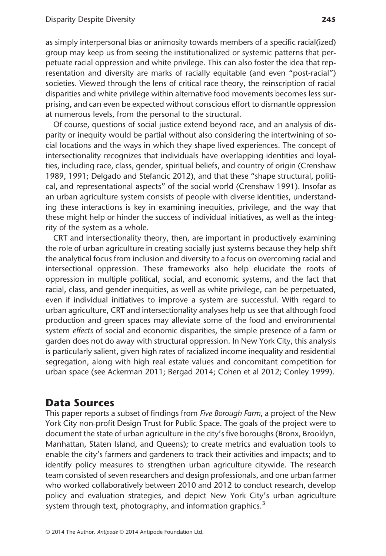as simply interpersonal bias or animosity towards members of a specific racial(ized) group may keep us from seeing the institutionalized or systemic patterns that perpetuate racial oppression and white privilege. This can also foster the idea that representation and diversity are marks of racially equitable (and even "post-racial") societies. Viewed through the lens of critical race theory, the reinscription of racial disparities and white privilege within alternative food movements becomes less surprising, and can even be expected without conscious effort to dismantle oppression at numerous levels, from the personal to the structural.

Of course, questions of social justice extend beyond race, and an analysis of disparity or inequity would be partial without also considering the intertwining of social locations and the ways in which they shape lived experiences. The concept of intersectionality recognizes that individuals have overlapping identities and loyalties, including race, class, gender, spiritual beliefs, and country of origin (Crenshaw 1989, 1991; Delgado and Stefancic 2012), and that these "shape structural, political, and representational aspects" of the social world (Crenshaw 1991). Insofar as an urban agriculture system consists of people with diverse identities, understanding these interactions is key in examining inequities, privilege, and the way that these might help or hinder the success of individual initiatives, as well as the integrity of the system as a whole.

CRT and intersectionality theory, then, are important in productively examining the role of urban agriculture in creating socially just systems because they help shift the analytical focus from inclusion and diversity to a focus on overcoming racial and intersectional oppression. These frameworks also help elucidate the roots of oppression in multiple political, social, and economic systems, and the fact that racial, class, and gender inequities, as well as white privilege, can be perpetuated, even if individual initiatives to improve a system are successful. With regard to urban agriculture, CRT and intersectionality analyses help us see that although food production and green spaces may alleviate some of the food and environmental system effects of social and economic disparities, the simple presence of a farm or garden does not do away with structural oppression. In New York City, this analysis is particularly salient, given high rates of racialized income inequality and residential segregation, along with high real estate values and concomitant competition for urban space (see Ackerman 2011; Bergad 2014; Cohen et al 2012; Conley 1999).

# Data Sources

This paper reports a subset of findings from Five Borough Farm, a project of the New York City non-profit Design Trust for Public Space. The goals of the project were to document the state of urban agriculture in the city's five boroughs (Bronx, Brooklyn, Manhattan, Staten Island, and Queens); to create metrics and evaluation tools to enable the city's farmers and gardeners to track their activities and impacts; and to identify policy measures to strengthen urban agriculture citywide. The research team consisted of seven researchers and design professionals, and one urban farmer who worked collaboratively between 2010 and 2012 to conduct research, develop policy and evaluation strategies, and depict New York City's urban agriculture system through text, photography, and information graphics.<sup>3</sup>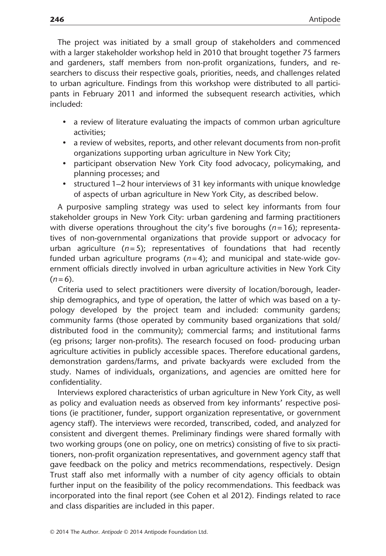The project was initiated by a small group of stakeholders and commenced with a larger stakeholder workshop held in 2010 that brought together 75 farmers and gardeners, staff members from non-profit organizations, funders, and researchers to discuss their respective goals, priorities, needs, and challenges related to urban agriculture. Findings from this workshop were distributed to all participants in February 2011 and informed the subsequent research activities, which included:

- a review of literature evaluating the impacts of common urban agriculture activities;
- a review of websites, reports, and other relevant documents from non-profit organizations supporting urban agriculture in New York City;
- participant observation New York City food advocacy, policymaking, and planning processes; and
- structured 1–2 hour interviews of 31 key informants with unique knowledge of aspects of urban agriculture in New York City, as described below.

A purposive sampling strategy was used to select key informants from four stakeholder groups in New York City: urban gardening and farming practitioners with diverse operations throughout the city's five boroughs ( $n=16$ ); representatives of non-governmental organizations that provide support or advocacy for urban agriculture ( $n = 5$ ); representatives of foundations that had recently funded urban agriculture programs ( $n=4$ ); and municipal and state-wide government officials directly involved in urban agriculture activities in New York City  $(n=6)$ .

Criteria used to select practitioners were diversity of location/borough, leadership demographics, and type of operation, the latter of which was based on a typology developed by the project team and included: community gardens; community farms (those operated by community based organizations that sold/ distributed food in the community); commercial farms; and institutional farms (eg prisons; larger non-profits). The research focused on food- producing urban agriculture activities in publicly accessible spaces. Therefore educational gardens, demonstration gardens/farms, and private backyards were excluded from the study. Names of individuals, organizations, and agencies are omitted here for confidentiality.

Interviews explored characteristics of urban agriculture in New York City, as well as policy and evaluation needs as observed from key informants' respective positions (ie practitioner, funder, support organization representative, or government agency staff). The interviews were recorded, transcribed, coded, and analyzed for consistent and divergent themes. Preliminary findings were shared formally with two working groups (one on policy, one on metrics) consisting of five to six practitioners, non-profit organization representatives, and government agency staff that gave feedback on the policy and metrics recommendations, respectively. Design Trust staff also met informally with a number of city agency officials to obtain further input on the feasibility of the policy recommendations. This feedback was incorporated into the final report (see Cohen et al 2012). Findings related to race and class disparities are included in this paper.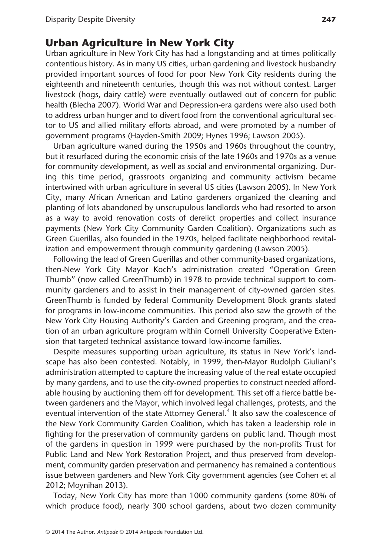#### Urban Agriculture in New York City

Urban agriculture in New York City has had a longstanding and at times politically contentious history. As in many US cities, urban gardening and livestock husbandry provided important sources of food for poor New York City residents during the eighteenth and nineteenth centuries, though this was not without contest. Larger livestock (hogs, dairy cattle) were eventually outlawed out of concern for public health (Blecha 2007). World War and Depression-era gardens were also used both to address urban hunger and to divert food from the conventional agricultural sector to US and allied military efforts abroad, and were promoted by a number of government programs (Hayden-Smith 2009; Hynes 1996; Lawson 2005).

Urban agriculture waned during the 1950s and 1960s throughout the country, but it resurfaced during the economic crisis of the late 1960s and 1970s as a venue for community development, as well as social and environmental organizing. During this time period, grassroots organizing and community activism became intertwined with urban agriculture in several US cities (Lawson 2005). In New York City, many African American and Latino gardeners organized the cleaning and planting of lots abandoned by unscrupulous landlords who had resorted to arson as a way to avoid renovation costs of derelict properties and collect insurance payments (New York City Community Garden Coalition). Organizations such as Green Guerillas, also founded in the 1970s, helped facilitate neighborhood revitalization and empowerment through community gardening (Lawson 2005).

Following the lead of Green Guerillas and other community-based organizations, then-New York City Mayor Koch's administration created "Operation Green Thumb" (now called GreenThumb) in 1978 to provide technical support to community gardeners and to assist in their management of city-owned garden sites. GreenThumb is funded by federal Community Development Block grants slated for programs in low-income communities. This period also saw the growth of the New York City Housing Authority's Garden and Greening program, and the creation of an urban agriculture program within Cornell University Cooperative Extension that targeted technical assistance toward low-income families.

Despite measures supporting urban agriculture, its status in New York's landscape has also been contested. Notably, in 1999, then-Mayor Rudolph Giuliani's administration attempted to capture the increasing value of the real estate occupied by many gardens, and to use the city-owned properties to construct needed affordable housing by auctioning them off for development. This set off a fierce battle between gardeners and the Mayor, which involved legal challenges, protests, and the eventual intervention of the state Attorney General.<sup>4</sup> It also saw the coalescence of the New York Community Garden Coalition, which has taken a leadership role in fighting for the preservation of community gardens on public land. Though most of the gardens in question in 1999 were purchased by the non-profits Trust for Public Land and New York Restoration Project, and thus preserved from development, community garden preservation and permanency has remained a contentious issue between gardeners and New York City government agencies (see Cohen et al 2012; Moynihan 2013).

Today, New York City has more than 1000 community gardens (some 80% of which produce food), nearly 300 school gardens, about two dozen community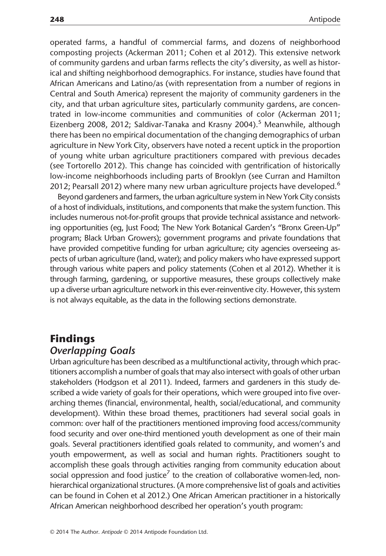operated farms, a handful of commercial farms, and dozens of neighborhood composting projects (Ackerman 2011; Cohen et al 2012). This extensive network of community gardens and urban farms reflects the city's diversity, as well as historical and shifting neighborhood demographics. For instance, studies have found that African Americans and Latino/as (with representation from a number of regions in Central and South America) represent the majority of community gardeners in the city, and that urban agriculture sites, particularly community gardens, are concentrated in low-income communities and communities of color (Ackerman 2011; Eizenberg 2008, 2012; Saldivar-Tanaka and Krasny 2004).<sup>5</sup> Meanwhile, although there has been no empirical documentation of the changing demographics of urban agriculture in New York City, observers have noted a recent uptick in the proportion of young white urban agriculture practitioners compared with previous decades (see Tortorello 2012). This change has coincided with gentrification of historically low-income neighborhoods including parts of Brooklyn (see Curran and Hamilton 2012; Pearsall 2012) where many new urban agriculture projects have developed.<sup>6</sup>

Beyond gardeners and farmers, the urban agriculture system in New York City consists of a host of individuals, institutions, and components that make the system function. This includes numerous not-for-profit groups that provide technical assistance and networking opportunities (eg, Just Food; The New York Botanical Garden's "Bronx Green-Up" program; Black Urban Growers); government programs and private foundations that have provided competitive funding for urban agriculture; city agencies overseeing aspects of urban agriculture (land, water); and policy makers who have expressed support through various white papers and policy statements (Cohen et al 2012). Whether it is through farming, gardening, or supportive measures, these groups collectively make up a diverse urban agriculture network in this ever-reinventive city. However, this system is not always equitable, as the data in the following sections demonstrate.

# Findings Overlapping Goals

Urban agriculture has been described as a multifunctional activity, through which practitioners accomplish a number of goals that may also intersect with goals of other urban stakeholders (Hodgson et al 2011). Indeed, farmers and gardeners in this study described a wide variety of goals for their operations, which were grouped into five overarching themes (financial, environmental, health, social/educational, and community development). Within these broad themes, practitioners had several social goals in common: over half of the practitioners mentioned improving food access/community food security and over one-third mentioned youth development as one of their main goals. Several practitioners identified goals related to community, and women's and youth empowerment, as well as social and human rights. Practitioners sought to accomplish these goals through activities ranging from community education about social oppression and food justice<sup>7</sup> to the creation of collaborative women-led, nonhierarchical organizational structures. (A more comprehensive list of goals and activities can be found in Cohen et al 2012.) One African American practitioner in a historically African American neighborhood described her operation's youth program: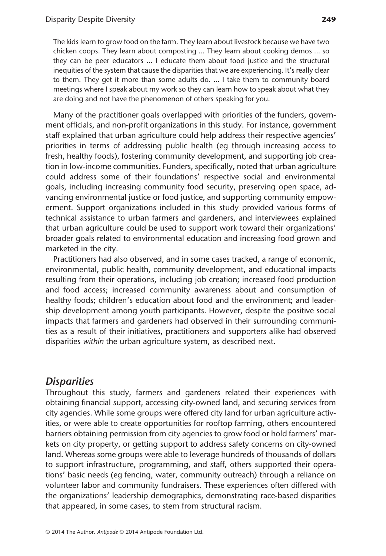The kids learn to grow food on the farm. They learn about livestock because we have two chicken coops. They learn about composting … They learn about cooking demos … so they can be peer educators … I educate them about food justice and the structural inequities of the system that cause the disparities that we are experiencing. It's really clear to them. They get it more than some adults do. … I take them to community board meetings where I speak about my work so they can learn how to speak about what they are doing and not have the phenomenon of others speaking for you.

Many of the practitioner goals overlapped with priorities of the funders, government officials, and non-profit organizations in this study. For instance, government staff explained that urban agriculture could help address their respective agencies' priorities in terms of addressing public health (eg through increasing access to fresh, healthy foods), fostering community development, and supporting job creation in low-income communities. Funders, specifically, noted that urban agriculture could address some of their foundations' respective social and environmental goals, including increasing community food security, preserving open space, advancing environmental justice or food justice, and supporting community empowerment. Support organizations included in this study provided various forms of technical assistance to urban farmers and gardeners, and interviewees explained that urban agriculture could be used to support work toward their organizations' broader goals related to environmental education and increasing food grown and marketed in the city.

Practitioners had also observed, and in some cases tracked, a range of economic, environmental, public health, community development, and educational impacts resulting from their operations, including job creation; increased food production and food access; increased community awareness about and consumption of healthy foods; children's education about food and the environment; and leadership development among youth participants. However, despite the positive social impacts that farmers and gardeners had observed in their surrounding communities as a result of their initiatives, practitioners and supporters alike had observed disparities within the urban agriculture system, as described next.

#### Disparities

Throughout this study, farmers and gardeners related their experiences with obtaining financial support, accessing city-owned land, and securing services from city agencies. While some groups were offered city land for urban agriculture activities, or were able to create opportunities for rooftop farming, others encountered barriers obtaining permission from city agencies to grow food or hold farmers' markets on city property, or getting support to address safety concerns on city-owned land. Whereas some groups were able to leverage hundreds of thousands of dollars to support infrastructure, programming, and staff, others supported their operations' basic needs (eg fencing, water, community outreach) through a reliance on volunteer labor and community fundraisers. These experiences often differed with the organizations' leadership demographics, demonstrating race-based disparities that appeared, in some cases, to stem from structural racism.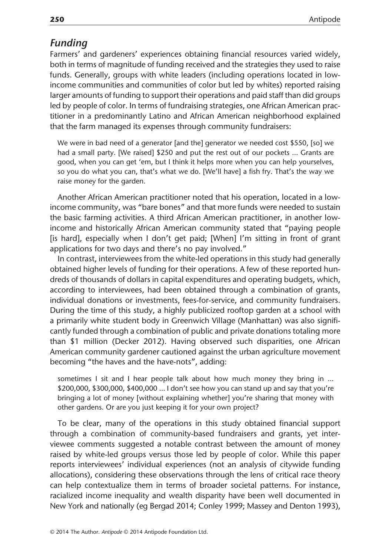#### Funding

Farmers' and gardeners' experiences obtaining financial resources varied widely, both in terms of magnitude of funding received and the strategies they used to raise funds. Generally, groups with white leaders (including operations located in lowincome communities and communities of color but led by whites) reported raising larger amounts of funding to support their operations and paid staff than did groups led by people of color. In terms of fundraising strategies, one African American practitioner in a predominantly Latino and African American neighborhood explained that the farm managed its expenses through community fundraisers:

We were in bad need of a generator [and the] generator we needed cost \$550, [so] we had a small party. [We raised] \$250 and put the rest out of our pockets ... Grants are good, when you can get 'em, but I think it helps more when you can help yourselves, so you do what you can, that's what we do. [We'll have] a fish fry. That's the way we raise money for the garden.

Another African American practitioner noted that his operation, located in a lowincome community, was "bare bones" and that more funds were needed to sustain the basic farming activities. A third African American practitioner, in another lowincome and historically African American community stated that "paying people [is hard], especially when I don't get paid; [When] I'm sitting in front of grant applications for two days and there's no pay involved."

In contrast, interviewees from the white-led operations in this study had generally obtained higher levels of funding for their operations. A few of these reported hundreds of thousands of dollars in capital expenditures and operating budgets, which, according to interviewees, had been obtained through a combination of grants, individual donations or investments, fees-for-service, and community fundraisers. During the time of this study, a highly publicized rooftop garden at a school with a primarily white student body in Greenwich Village (Manhattan) was also significantly funded through a combination of public and private donations totaling more than \$1 million (Decker 2012). Having observed such disparities, one African American community gardener cautioned against the urban agriculture movement becoming "the haves and the have-nots", adding:

sometimes I sit and I hear people talk about how much money they bring in … \$200,000, \$300,000, \$400,000 … I don't see how you can stand up and say that you're bringing a lot of money [without explaining whether] you're sharing that money with other gardens. Or are you just keeping it for your own project?

To be clear, many of the operations in this study obtained financial support through a combination of community-based fundraisers and grants, yet interviewee comments suggested a notable contrast between the amount of money raised by white-led groups versus those led by people of color. While this paper reports interviewees' individual experiences (not an analysis of citywide funding allocations), considering these observations through the lens of critical race theory can help contextualize them in terms of broader societal patterns. For instance, racialized income inequality and wealth disparity have been well documented in New York and nationally (eg Bergad 2014; Conley 1999; Massey and Denton 1993),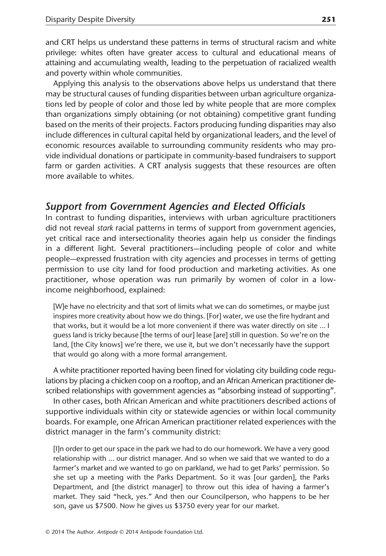and CRT helps us understand these patterns in terms of structural racism and white privilege: whites often have greater access to cultural and educational means of attaining and accumulating wealth, leading to the perpetuation of racialized wealth and poverty within whole communities.

Applying this analysis to the observations above helps us understand that there may be structural causes of funding disparities between urban agriculture organizations led by people of color and those led by white people that are more complex than organizations simply obtaining (or not obtaining) competitive grant funding based on the merits of their projects. Factors producing funding disparities may also include differences in cultural capital held by organizational leaders, and the level of economic resources available to surrounding community residents who may provide individual donations or participate in community-based fundraisers to support farm or garden activities. A CRT analysis suggests that these resources are often more available to whites.

### Support from Government Agencies and Elected Officials

In contrast to funding disparities, interviews with urban agriculture practitioners did not reveal stark racial patterns in terms of support from government agencies, yet critical race and intersectionality theories again help us consider the findings in a different light. Several practitioners—including people of color and white people—expressed frustration with city agencies and processes in terms of getting permission to use city land for food production and marketing activities. As one practitioner, whose operation was run primarily by women of color in a lowincome neighborhood, explained:

[W]e have no electricity and that sort of limits what we can do sometimes, or maybe just inspires more creativity about how we do things. [For] water, we use the fire hydrant and that works, but it would be a lot more convenient if there was water directly on site … I guess land is tricky because [the terms of our] lease [are] still in question. So we're on the land, [the City knows] we're there, we use it, but we don't necessarily have the support that would go along with a more formal arrangement.

A white practitioner reported having been fined for violating city building code regulations by placing a chicken coop on a rooftop, and an African American practitioner described relationships with government agencies as "absorbing instead of supporting".

In other cases, both African American and white practitioners described actions of supportive individuals within city or statewide agencies or within local community boards. For example, one African American practitioner related experiences with the district manager in the farm's community district:

[I]n order to get our space in the park we had to do our homework. We have a very good relationship with … our district manager. And so when we said that we wanted to do a farmer's market and we wanted to go on parkland, we had to get Parks' permission. So she set up a meeting with the Parks Department. So it was [our garden], the Parks Department, and [the district manager] to throw out this idea of having a farmer's market. They said "heck, yes." And then our Councilperson, who happens to be her son, gave us \$7500. Now he gives us \$3750 every year for our market.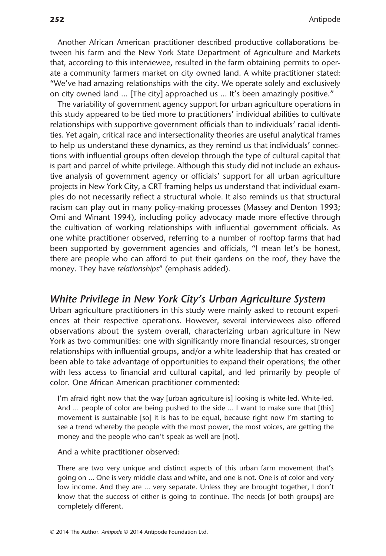Another African American practitioner described productive collaborations between his farm and the New York State Department of Agriculture and Markets that, according to this interviewee, resulted in the farm obtaining permits to operate a community farmers market on city owned land. A white practitioner stated: "We've had amazing relationships with the city. We operate solely and exclusively on city owned land … [The city] approached us … It's been amazingly positive."

The variability of government agency support for urban agriculture operations in this study appeared to be tied more to practitioners' individual abilities to cultivate relationships with supportive government officials than to individuals' racial identities. Yet again, critical race and intersectionality theories are useful analytical frames to help us understand these dynamics, as they remind us that individuals' connections with influential groups often develop through the type of cultural capital that is part and parcel of white privilege. Although this study did not include an exhaustive analysis of government agency or officials' support for all urban agriculture projects in New York City, a CRT framing helps us understand that individual examples do not necessarily reflect a structural whole. It also reminds us that structural racism can play out in many policy-making processes (Massey and Denton 1993; Omi and Winant 1994), including policy advocacy made more effective through the cultivation of working relationships with influential government officials. As one white practitioner observed, referring to a number of rooftop farms that had been supported by government agencies and officials, "I mean let's be honest, there are people who can afford to put their gardens on the roof, they have the money. They have *relationships*" (emphasis added).

#### White Privilege in New York City's Urban Agriculture System

Urban agriculture practitioners in this study were mainly asked to recount experiences at their respective operations. However, several interviewees also offered observations about the system overall, characterizing urban agriculture in New York as two communities: one with significantly more financial resources, stronger relationships with influential groups, and/or a white leadership that has created or been able to take advantage of opportunities to expand their operations; the other with less access to financial and cultural capital, and led primarily by people of color. One African American practitioner commented:

I'm afraid right now that the way [urban agriculture is] looking is white-led. White-led. And … people of color are being pushed to the side … I want to make sure that [this] movement is sustainable [so] it is has to be equal, because right now I'm starting to see a trend whereby the people with the most power, the most voices, are getting the money and the people who can't speak as well are [not].

And a white practitioner observed:

There are two very unique and distinct aspects of this urban farm movement that's going on … One is very middle class and white, and one is not. One is of color and very low income. And they are … very separate. Unless they are brought together, I don't know that the success of either is going to continue. The needs [of both groups] are completely different.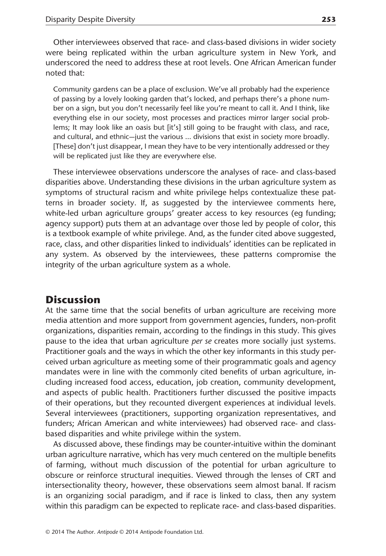Other interviewees observed that race- and class-based divisions in wider society were being replicated within the urban agriculture system in New York, and underscored the need to address these at root levels. One African American funder noted that:

Community gardens can be a place of exclusion. We've all probably had the experience of passing by a lovely looking garden that's locked, and perhaps there's a phone number on a sign, but you don't necessarily feel like you're meant to call it. And I think, like everything else in our society, most processes and practices mirror larger social problems; It may look like an oasis but [it's] still going to be fraught with class, and race, and cultural, and ethnic—just the various … divisions that exist in society more broadly. [These] don't just disappear, I mean they have to be very intentionally addressed or they will be replicated just like they are everywhere else.

These interviewee observations underscore the analyses of race- and class-based disparities above. Understanding these divisions in the urban agriculture system as symptoms of structural racism and white privilege helps contextualize these patterns in broader society. If, as suggested by the interviewee comments here, white-led urban agriculture groups' greater access to key resources (eg funding; agency support) puts them at an advantage over those led by people of color, this is a textbook example of white privilege. And, as the funder cited above suggested, race, class, and other disparities linked to individuals' identities can be replicated in any system. As observed by the interviewees, these patterns compromise the integrity of the urban agriculture system as a whole.

#### **Discussion**

At the same time that the social benefits of urban agriculture are receiving more media attention and more support from government agencies, funders, non-profit organizations, disparities remain, according to the findings in this study. This gives pause to the idea that urban agriculture per se creates more socially just systems. Practitioner goals and the ways in which the other key informants in this study perceived urban agriculture as meeting some of their programmatic goals and agency mandates were in line with the commonly cited benefits of urban agriculture, including increased food access, education, job creation, community development, and aspects of public health. Practitioners further discussed the positive impacts of their operations, but they recounted divergent experiences at individual levels. Several interviewees (practitioners, supporting organization representatives, and funders; African American and white interviewees) had observed race- and classbased disparities and white privilege within the system.

As discussed above, these findings may be counter-intuitive within the dominant urban agriculture narrative, which has very much centered on the multiple benefits of farming, without much discussion of the potential for urban agriculture to obscure or reinforce structural inequities. Viewed through the lenses of CRT and intersectionality theory, however, these observations seem almost banal. If racism is an organizing social paradigm, and if race is linked to class, then any system within this paradigm can be expected to replicate race- and class-based disparities.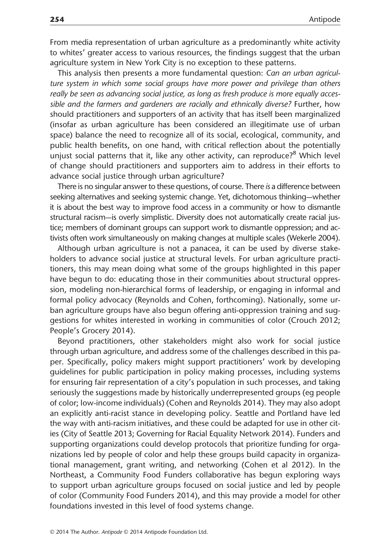From media representation of urban agriculture as a predominantly white activity to whites' greater access to various resources, the findings suggest that the urban agriculture system in New York City is no exception to these patterns.

This analysis then presents a more fundamental question: Can an urban agriculture system in which some social groups have more power and privilege than others really be seen as advancing social justice, as long as fresh produce is more equally accessible and the farmers and gardeners are racially and ethnically diverse? Further, how should practitioners and supporters of an activity that has itself been marginalized (insofar as urban agriculture has been considered an illegitimate use of urban space) balance the need to recognize all of its social, ecological, community, and public health benefits, on one hand, with critical reflection about the potentially unjust social patterns that it, like any other activity, can reproduce?<sup>8</sup> Which level of change should practitioners and supporters aim to address in their efforts to advance social justice through urban agriculture?

There is no singular answer to these questions, of course. There is a difference between seeking alternatives and seeking systemic change. Yet, dichotomous thinking—whether it is about the best way to improve food access in a community or how to dismantle structural racism—is overly simplistic. Diversity does not automatically create racial justice; members of dominant groups can support work to dismantle oppression; and activists often work simultaneously on making changes at multiple scales (Wekerle 2004).

Although urban agriculture is not a panacea, it can be used by diverse stakeholders to advance social justice at structural levels. For urban agriculture practitioners, this may mean doing what some of the groups highlighted in this paper have begun to do: educating those in their communities about structural oppression, modeling non-hierarchical forms of leadership, or engaging in informal and formal policy advocacy (Reynolds and Cohen, forthcoming). Nationally, some urban agriculture groups have also begun offering anti-oppression training and suggestions for whites interested in working in communities of color (Crouch 2012; People's Grocery 2014).

Beyond practitioners, other stakeholders might also work for social justice through urban agriculture, and address some of the challenges described in this paper. Specifically, policy makers might support practitioners' work by developing guidelines for public participation in policy making processes, including systems for ensuring fair representation of a city's population in such processes, and taking seriously the suggestions made by historically underrepresented groups (eg people of color; low-income individuals) (Cohen and Reynolds 2014). They may also adopt an explicitly anti-racist stance in developing policy. Seattle and Portland have led the way with anti-racism initiatives, and these could be adapted for use in other cities (City of Seattle 2013; Governing for Racial Equality Network 2014). Funders and supporting organizations could develop protocols that prioritize funding for organizations led by people of color and help these groups build capacity in organizational management, grant writing, and networking (Cohen et al 2012). In the Northeast, a Community Food Funders collaborative has begun exploring ways to support urban agriculture groups focused on social justice and led by people of color (Community Food Funders 2014), and this may provide a model for other foundations invested in this level of food systems change.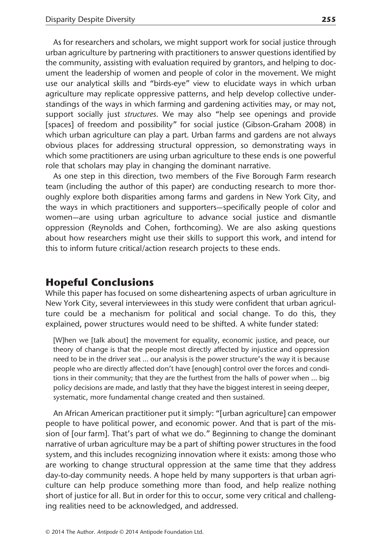As for researchers and scholars, we might support work for social justice through urban agriculture by partnering with practitioners to answer questions identified by the community, assisting with evaluation required by grantors, and helping to document the leadership of women and people of color in the movement. We might use our analytical skills and "birds-eye" view to elucidate ways in which urban agriculture may replicate oppressive patterns, and help develop collective understandings of the ways in which farming and gardening activities may, or may not, support socially just *structures*. We may also "help see openings and provide [spaces] of freedom and possibility" for social justice (Gibson-Graham 2008) in which urban agriculture can play a part. Urban farms and gardens are not always obvious places for addressing structural oppression, so demonstrating ways in which some practitioners are using urban agriculture to these ends is one powerful role that scholars may play in changing the dominant narrative.

As one step in this direction, two members of the Five Borough Farm research team (including the author of this paper) are conducting research to more thoroughly explore both disparities among farms and gardens in New York City, and the ways in which practitioners and supporters—specifically people of color and women—are using urban agriculture to advance social justice and dismantle oppression (Reynolds and Cohen, forthcoming). We are also asking questions about how researchers might use their skills to support this work, and intend for this to inform future critical/action research projects to these ends.

#### Hopeful Conclusions

While this paper has focused on some disheartening aspects of urban agriculture in New York City, several interviewees in this study were confident that urban agriculture could be a mechanism for political and social change. To do this, they explained, power structures would need to be shifted. A white funder stated:

[W]hen we [talk about] the movement for equality, economic justice, and peace, our theory of change is that the people most directly affected by injustice and oppression need to be in the driver seat … our analysis is the power structure's the way it is because people who are directly affected don't have [enough] control over the forces and conditions in their community; that they are the furthest from the halls of power when … big policy decisions are made, and lastly that they have the biggest interest in seeing deeper, systematic, more fundamental change created and then sustained.

An African American practitioner put it simply: "[urban agriculture] can empower people to have political power, and economic power. And that is part of the mission of [our farm]. That's part of what we do." Beginning to change the dominant narrative of urban agriculture may be a part of shifting power structures in the food system, and this includes recognizing innovation where it exists: among those who are working to change structural oppression at the same time that they address day-to-day community needs. A hope held by many supporters is that urban agriculture can help produce something more than food, and help realize nothing short of justice for all. But in order for this to occur, some very critical and challenging realities need to be acknowledged, and addressed.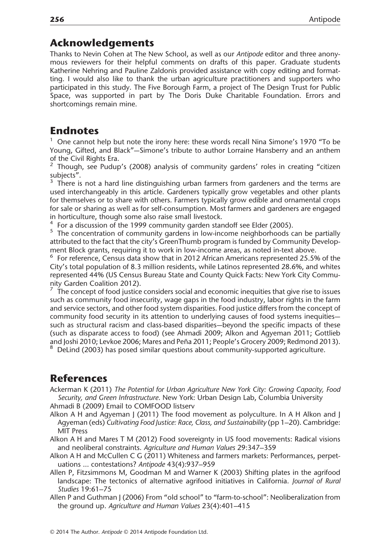#### Acknowledgements

Thanks to Nevin Cohen at The New School, as well as our Antipode editor and three anonymous reviewers for their helpful comments on drafts of this paper. Graduate students Katherine Nehring and Pauline Zaldonis provided assistance with copy editing and formatting. I would also like to thank the urban agriculture practitioners and supporters who participated in this study. The Five Borough Farm, a project of The Design Trust for Public Space, was supported in part by The Doris Duke Charitable Foundation. Errors and shortcomings remain mine.

# **Endnotes**

 $1$  One cannot help but note the irony here: these words recall Nina Simone's 1970 "To be Young, Gifted, and Black"—Simone's tribute to author Lorraine Hansberry and an anthem of the Civil Rights Era.

<sup>2</sup> Though, see Pudup's (2008) analysis of community gardens' roles in creating "citizen subjects".

<sup>3</sup> There is not a hard line distinguishing urban farmers from gardeners and the terms are used interchangeably in this article. Gardeners typically grow vegetables and other plants for themselves or to share with others. Farmers typically grow edible and ornamental crops for sale or sharing as well as for self-consumption. Most farmers and gardeners are engaged in horticulture, though some also raise small livestock.<br><sup>4</sup> For a discussion of the 1999 community garden standoff see Elder (2005).

 $5$  The concentration of community gardens in low-income neighborhoods can be partially attributed to the fact that the city's GreenThumb program is funded by Community Development Block grants, requiring it to work in low-income areas, as noted in-text above.

 $6$  For reference, Census data show that in 2012 African Americans represented 25.5% of the City's total population of 8.3 million residents, while Latinos represented 28.6%, and whites represented 44% (US Census Bureau State and County Quick Facts: New York City Community Garden Coalition 2012).

<sup>7</sup> The concept of food justice considers social and economic inequities that give rise to issues such as community food insecurity, wage gaps in the food industry, labor rights in the farm and service sectors, and other food system disparities. Food justice differs from the concept of community food security in its attention to underlying causes of food systems inequities such as structural racism and class-based disparities—beyond the specific impacts of these (such as disparate access to food) (see Ahmadi 2009; Alkon and Agyeman 2011; Gottlieb and Joshi 2010; Levkoe 2006; Mares and Peña 2011; People's Grocery 2009; Redmond 2013).<br><sup>8</sup> DeLind (2003) has posed similar questions about community-supported agriculture.

# References

Ackerman K (2011) The Potential for Urban Agriculture New York City: Growing Capacity, Food Security, and Green Infrastructure. New York: Urban Design Lab, Columbia University Ahmadi B (2009) Email to COMFOOD listserv

Alkon A H and Agyeman J (2011) The food movement as polyculture. In A H Alkon and J Agyeman (eds) Cultivating Food Justice: Race, Class, and Sustainability (pp 1–20). Cambridge: MIT Press

Alkon A H and Mares T M (2012) Food sovereignty in US food movements: Radical visions and neoliberal constraints. Agriculture and Human Values 29:347–359

- Alkon A H and McCullen C G (2011) Whiteness and farmers markets: Performances, perpetuations … contestations? Antipode 43(4):937–959
- Allen P, Fitzsimmons M, Goodman M and Warner K (2003) Shifting plates in the agrifood landscape: The tectonics of alternative agrifood initiatives in California. Journal of Rural Studies 19:61–75
- Allen P and Guthman J (2006) From "old school" to "farm-to-school": Neoliberalization from the ground up. Agriculture and Human Values 23(4):401–415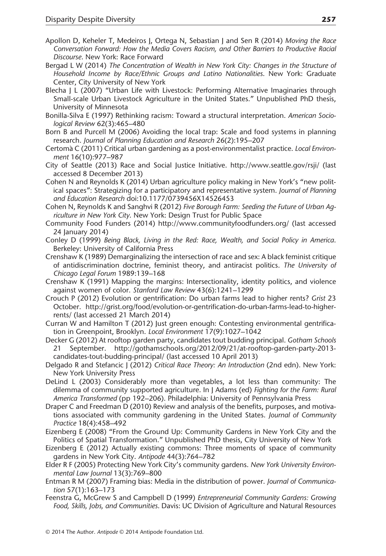- Apollon D, Keheler T, Medeiros J, Ortega N, Sebastian J and Sen R (2014) Moving the Race Conversation Forward: How the Media Covers Racism, and Other Barriers to Productive Racial Discourse. New York: Race Forward
- Bergad L W (2014) The Concentration of Wealth in New York City: Changes in the Structure of Household Income by Race/Ethnic Groups and Latino Nationalities. New York: Graduate Center, City University of New York
- Blecha J L (2007) "Urban Life with Livestock: Performing Alternative Imaginaries through Small-scale Urban Livestock Agriculture in the United States." Unpublished PhD thesis, University of Minnesota
- Bonilla-Silva E (1997) Rethinking racism: Toward a structural interpretation. American Sociological Review 62(3):465–480
- Born B and Purcell M (2006) Avoiding the local trap: Scale and food systems in planning research. Journal of Planning Education and Research 26(2):195–207
- Certomà C (2011) Critical urban gardening as a post-environmentalist practice. Local Environment 16(10):977–987
- City of Seattle (2013) Race and Social Justice Initiative. http://www.seattle.gov/rsji/ (last accessed 8 December 2013)
- Cohen N and Reynolds K (2014) Urban agriculture policy making in New York's "new political spaces": Strategizing for a participatory and representative system. Journal of Planning and Education Research doi:10.1177/0739456X14526453
- Cohen N, Reynolds K and Sanghvi R (2012) Five Borough Farm: Seeding the Future of Urban Agriculture in New York City. New York: Design Trust for Public Space
- Community Food Funders (2014) http://www.communityfoodfunders.org/ (last accessed 24 January 2014)
- Conley D (1999) Being Black, Living in the Red: Race, Wealth, and Social Policy in America. Berkeley: University of California Press
- Crenshaw K (1989) Demarginalizing the intersection of race and sex: A black feminist critique of antidiscrimination doctrine, feminist theory, and antiracist politics. The University of Chicago Legal Forum 1989:139–168
- Crenshaw K (1991) Mapping the margins: Intersectionality, identity politics, and violence against women of color. Stanford Law Review 43(6):1241–1299
- Crouch P (2012) Evolution or gentrification: Do urban farms lead to higher rents? Grist 23 October. http://grist.org/food/evolution-or-gentrification-do-urban-farms-lead-to-higherrents/ (last accessed 21 March 2014)
- Curran W and Hamilton T (2012) Just green enough: Contesting environmental gentrification in Greenpoint, Brooklyn. Local Environment 17(9):1027–1042
- Decker G (2012) At rooftop garden party, candidates tout budding principal. Gotham Schools 21 September. [http://gothamschools.org/2012/09/21/at-rooftop-garden-party-2013](http://gothamschools.org/2012/09/21/at-rooftop-garden-party-2013-candidates-tout-budding-principal/) [candidates-tout-budding-principal/](http://gothamschools.org/2012/09/21/at-rooftop-garden-party-2013-candidates-tout-budding-principal/) (last accessed 10 April 2013)
- Delgado R and Stefancic J (2012) Critical Race Theory: An Introduction (2nd edn). New York: New York University Press
- DeLind L (2003) Considerably more than vegetables, a lot less than community: The dilemma of community supported agriculture. In J Adams (ed) Fighting for the Farm: Rural America Transformed (pp 192–206). Philadelphia: University of Pennsylvania Press
- Draper C and Freedman D (2010) Review and analysis of the benefits, purposes, and motivations associated with community gardening in the United States. Journal of Community Practice 18(4):458–492
- Eizenberg E (2008) "From the Ground Up: Community Gardens in New York City and the Politics of Spatial Transformation." Unpublished PhD thesis, City University of New York
- Eizenberg E (2012) Actually existing commons: Three moments of space of community gardens in New York City. Antipode 44(3):764–782
- Elder R F (2005) Protecting New York City's community gardens. New York University Environmental Law Journal 13(3):769–800
- Entman R M (2007) Framing bias: Media in the distribution of power. Journal of Communication 57(1):163–173
- Feenstra G, McGrew S and Campbell D (1999) Entrepreneurial Community Gardens: Growing Food, Skills, Jobs, and Communities. Davis: UC Division of Agriculture and Natural Resources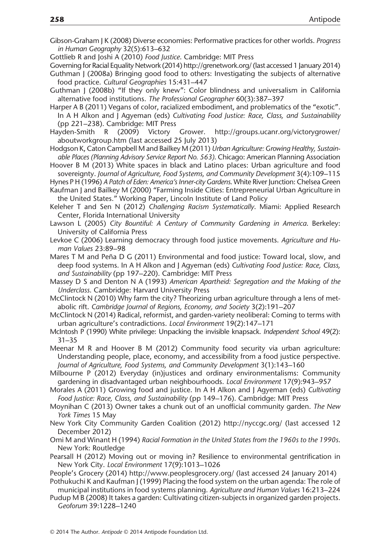- Gibson-Graham J K (2008) Diverse economies: Performative practices for other worlds. Progress in Human Geography 32(5):613–632
- Gottlieb R and Joshi A (2010) Food Justice. Cambridge: MIT Press
- Governing for Racial Equality Network (2014) http://grenetwork.org/ (last accessed 1 January 2014) Guthman J (2008a) Bringing good food to others: Investigating the subjects of alternative food practice. Cultural Geographies 15:431–447
- Guthman J (2008b) "If they only knew": Color blindness and universalism in California alternative food institutions. The Professional Geographer 60(3):387–397
- Harper A B (2011) Vegans of color, racialized embodiment, and problematics of the "exotic". In A H Alkon and J Agyeman (eds) Cultivating Food Justice: Race, Class, and Sustainability (pp 221–238). Cambridge: MIT Press
- Hayden-Smith R (2009) Victory Grower. http://groups.ucanr.org/victorygrower/ aboutworkgroup.htm (last accessed 25 July 2013)
- Hodgson K, Caton Campbell M and Bailkey M (2011) Urban Agriculture: Growing Healthy, Sustainable Places (Planning Advisory Service Report No. 563). Chicago: American Planning Association
- Hoover B M (2013) White spaces in black and Latino places: Urban agriculture and food sovereignty. Journal of Agriculture, Food Systems, and Community Development 3(4):109–115
- Hynes P H (1996) A Patch of Eden: America's Inner-city Gardens. White River Junction: Chelsea Green Kaufman J and Bailkey M (2000) "Farming Inside Cities: Entrepreneurial Urban Agriculture in

the United States." Working Paper, Lincoln Institute of Land Policy

- Keleher T and Sen N (2012) Challenging Racism Systematically. Miami: Applied Research Center, Florida International University
- Lawson L (2005) City Bountiful: A Century of Community Gardening in America. Berkeley: University of California Press
- Levkoe C (2006) Learning democracy through food justice movements. Agriculture and Human Values 23:89–98
- Mares T M and Peña D G (2011) Environmental and food justice: Toward local, slow, and deep food systems. In A H Alkon and J Agyeman (eds) Cultivating Food Justice: Race, Class, and Sustainability (pp 197–220). Cambridge: MIT Press
- Massey D S and Denton N A (1993) American Apartheid: Segregation and the Making of the Underclass. Cambridge: Harvard University Press
- McClintock N (2010) Why farm the city? Theorizing urban agriculture through a lens of metabolic rift. Cambridge Journal of Regions, Economy, and Society 3(2):191–207
- McClintock N (2014) Radical, reformist, and garden-variety neoliberal: Coming to terms with urban agriculture's contradictions. Local Environment 19(2):147–171
- McIntosh P (1990) White privilege: Unpacking the invisible knapsack. Independent School 49(2): 31–35
- Meenar M R and Hoover B M (2012) Community food security via urban agriculture: Understanding people, place, economy, and accessibility from a food justice perspective. Journal of Agriculture, Food Systems, and Community Development 3(1):143–160
- Milbourne P (2012) Everyday (in)justices and ordinary environmentalisms: Community gardening in disadvantaged urban neighbourhoods. Local Environment 17(9):943–957
- Morales A (2011) Growing food and justice. In A H Alkon and J Agyeman (eds) Cultivating Food Justice: Race, Class, and Sustainability (pp 149–176). Cambridge: MIT Press
- Moynihan C (2013) Owner takes a chunk out of an unofficial community garden. The New York Times 15 May
- New York City Community Garden Coalition (2012) http://nyccgc.org/ (last accessed 12 December 2012)
- Omi M and Winant H (1994) Racial Formation in the United States from the 1960s to the 1990s. New York: Routledge
- Pearsall H (2012) Moving out or moving in? Resilience to environmental gentrification in New York City. Local Environment 17(9):1013–1026
- People's Grocery (2014)<http://www.peoplesgrocery.org/> (last accessed 24 January 2014)
- Pothukuchi K and Kaufman J (1999) Placing the food system on the urban agenda: The role of municipal institutions in food systems planning. Agriculture and Human Values 16:213–224
- Pudup M B (2008) It takes a garden: Cultivating citizen-subjects in organized garden projects. Geoforum 39:1228–1240